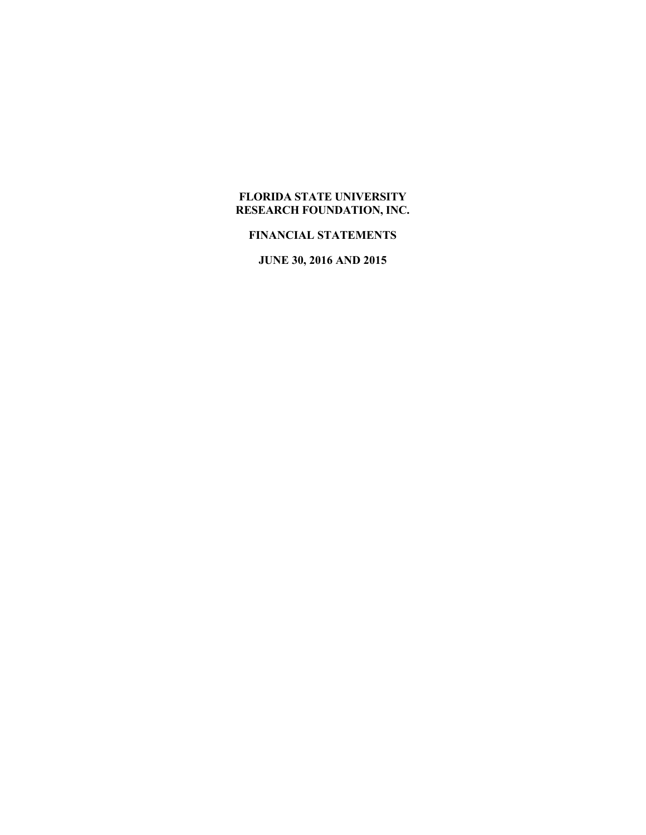## **FLORIDA STATE UNIVERSITY RESEARCH FOUNDATION, INC.**

## **FINANCIAL STATEMENTS**

**JUNE 30, 2016 AND 2015**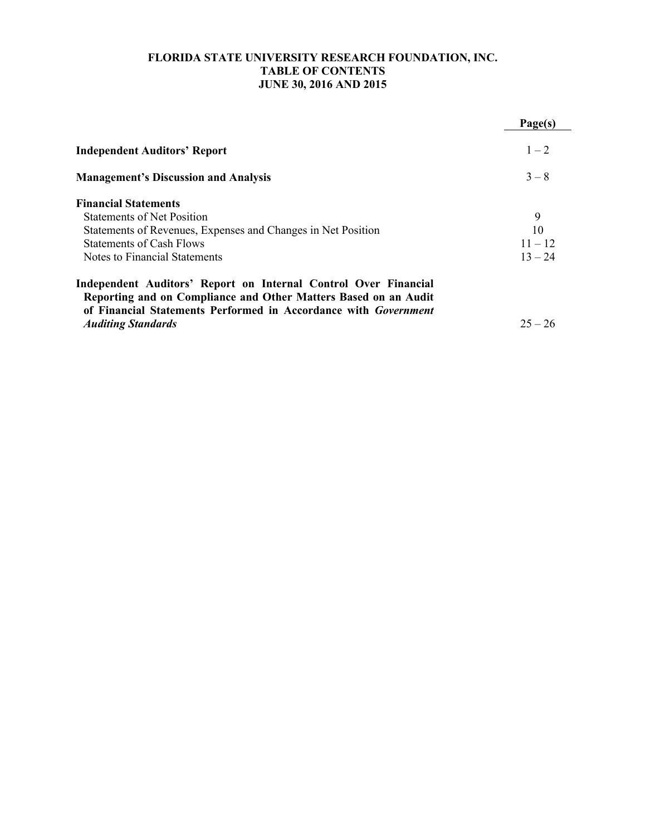# **FLORIDA STATE UNIVERSITY RESEARCH FOUNDATION, INC. TABLE OF CONTENTS JUNE 30, 2016 AND 2015**

|                                                                                                                                                                                                       | Page(s)   |
|-------------------------------------------------------------------------------------------------------------------------------------------------------------------------------------------------------|-----------|
| <b>Independent Auditors' Report</b>                                                                                                                                                                   | $1 - 2$   |
| <b>Management's Discussion and Analysis</b>                                                                                                                                                           | $3 - 8$   |
| <b>Financial Statements</b>                                                                                                                                                                           |           |
| <b>Statements of Net Position</b>                                                                                                                                                                     | 9         |
| Statements of Revenues, Expenses and Changes in Net Position                                                                                                                                          | 10        |
| <b>Statements of Cash Flows</b>                                                                                                                                                                       | $11 - 12$ |
| Notes to Financial Statements                                                                                                                                                                         | $13 - 24$ |
| Independent Auditors' Report on Internal Control Over Financial<br>Reporting and on Compliance and Other Matters Based on an Audit<br>of Financial Statements Performed in Accordance with Government |           |
| <b>Auditing Standards</b>                                                                                                                                                                             | $25 - 26$ |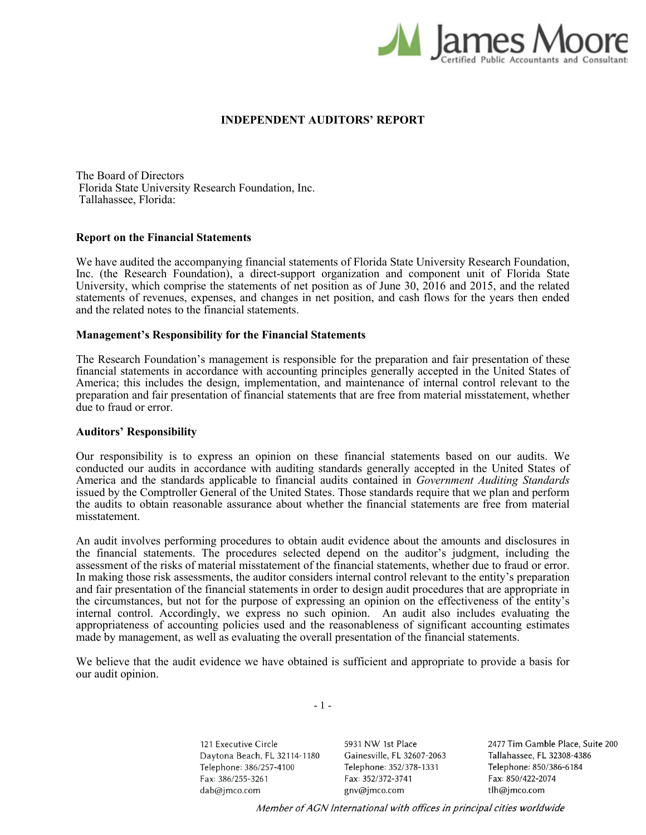

#### **INDEPENDENT AUDITORS' REPORT**

The Board of Directors Florida State University Research Foundation, Inc. Tallahassee, Florida:

#### **Report on the Financial Statements**

We have audited the accompanying financial statements of Florida State University Research Foundation, Inc. (the Research Foundation), a direct-support organization and component unit of Florida State University, which comprise the statements of net position as of June 30, 2016 and 2015, and the related statements of revenues, expenses, and changes in net position, and cash flows for the years then ended and the related notes to the financial statements.

#### **Management's Responsibility for the Financial Statements**

The Research Foundation's management is responsible for the preparation and fair presentation of these financial statements in accordance with accounting principles generally accepted in the United States of America; this includes the design, implementation, and maintenance of internal control relevant to the preparation and fair presentation of financial statements that are free from material misstatement, whether due to fraud or error.

#### **Auditors' Responsibility**

Our responsibility is to express an opinion on these financial statements based on our audits. We conducted our audits in accordance with auditing standards generally accepted in the United States of America and the standards applicable to financial audits contained in *Government Auditing Standards* issued by the Comptroller General of the United States. Those standards require that we plan and perform the audits to obtain reasonable assurance about whether the financial statements are free from material misstatement.

An audit involves performing procedures to obtain audit evidence about the amounts and disclosures in the financial statements. The procedures selected depend on the auditor's judgment, including the assessment of the risks of material misstatement of the financial statements, whether due to fraud or error. In making those risk assessments, the auditor considers internal control relevant to the entity's preparation and fair presentation of the financial statements in order to design audit procedures that are appropriate in the circumstances, but not for the purpose of expressing an opinion on the effectiveness of the entity's internal control. Accordingly, we express no such opinion. An audit also includes evaluating the appropriateness of accounting policies used and the reasonableness of significant accounting estimates made by management, as well as evaluating the overall presentation of the financial statements.

We believe that the audit evidence we have obtained is sufficient and appropriate to provide a basis for our audit opinion.

- 1 -

121 Executive Circle Daytona Beach, FL 32114-1180 Telephone: 386/257-4100 Fax: 386/255-3261 dab@jmco.com

5931 NW 1st Place Gainesville, FL 32607-2063 Telephone: 352/378-1331 Fax: 352/372-3741 gnv@jmco.com

2477 Tim Gamble Place, Suite 200 Tallahassee, FL 32308-4386 Telephone: 850/386-6184 Fax: 850/422-2074 tlh@jmco.com

Member of AGN International with offices in principal cities worldwide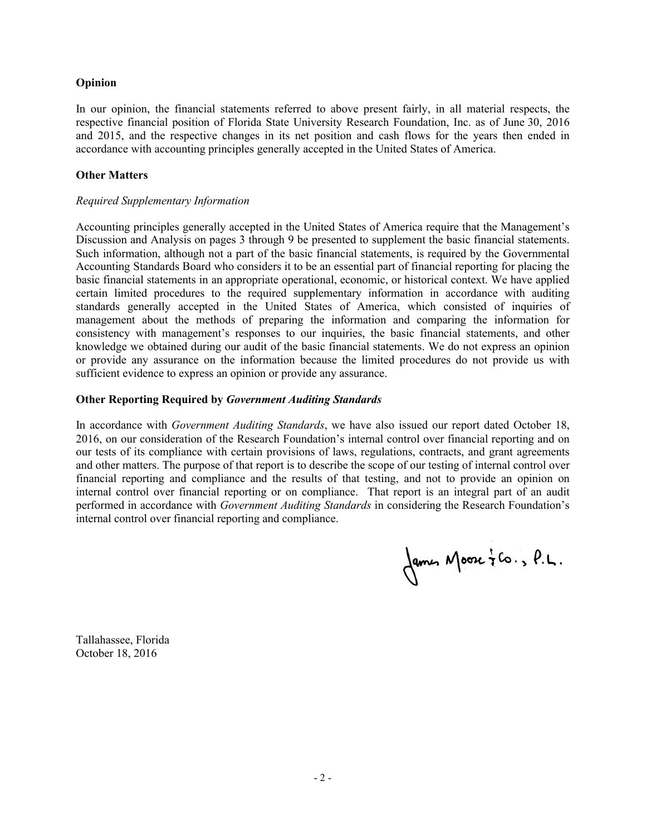### **Opinion**

In our opinion, the financial statements referred to above present fairly, in all material respects, the respective financial position of Florida State University Research Foundation, Inc. as of June 30, 2016 and 2015, and the respective changes in its net position and cash flows for the years then ended in accordance with accounting principles generally accepted in the United States of America.

#### **Other Matters**

#### *Required Supplementary Information*

Accounting principles generally accepted in the United States of America require that the Management's Discussion and Analysis on pages 3 through 9 be presented to supplement the basic financial statements. Such information, although not a part of the basic financial statements, is required by the Governmental Accounting Standards Board who considers it to be an essential part of financial reporting for placing the basic financial statements in an appropriate operational, economic, or historical context. We have applied certain limited procedures to the required supplementary information in accordance with auditing standards generally accepted in the United States of America, which consisted of inquiries of management about the methods of preparing the information and comparing the information for consistency with management's responses to our inquiries, the basic financial statements, and other knowledge we obtained during our audit of the basic financial statements. We do not express an opinion or provide any assurance on the information because the limited procedures do not provide us with sufficient evidence to express an opinion or provide any assurance.

#### **Other Reporting Required by** *Government Auditing Standards*

In accordance with *Government Auditing Standards*, we have also issued our report dated October 18, 2016, on our consideration of the Research Foundation's internal control over financial reporting and on our tests of its compliance with certain provisions of laws, regulations, contracts, and grant agreements and other matters. The purpose of that report is to describe the scope of our testing of internal control over financial reporting and compliance and the results of that testing, and not to provide an opinion on internal control over financial reporting or on compliance. That report is an integral part of an audit performed in accordance with *Government Auditing Standards* in considering the Research Foundation's internal control over financial reporting and compliance.

James Moose 760., P.L.

Tallahassee, Florida October 18, 2016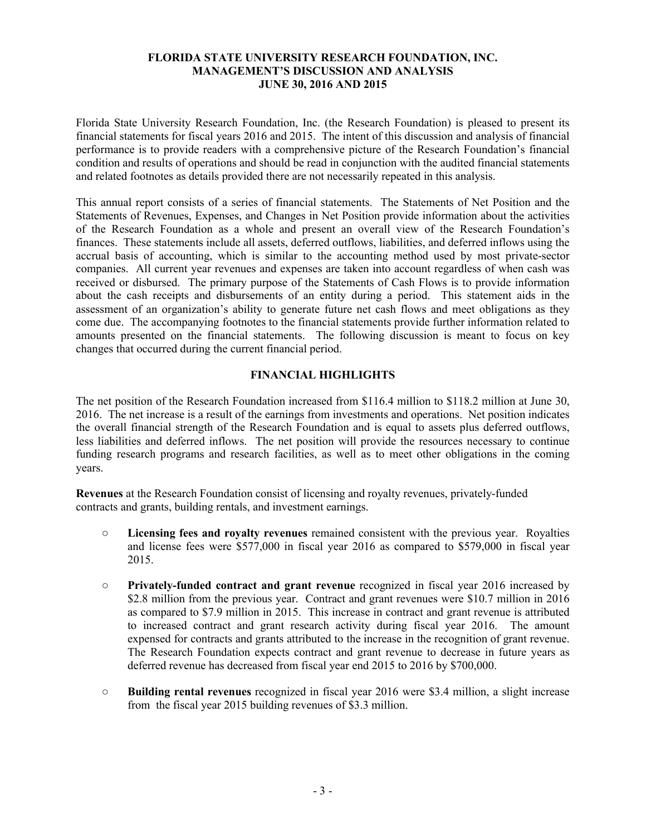Florida State University Research Foundation, Inc. (the Research Foundation) is pleased to present its financial statements for fiscal years 2016 and 2015. The intent of this discussion and analysis of financial performance is to provide readers with a comprehensive picture of the Research Foundation's financial condition and results of operations and should be read in conjunction with the audited financial statements and related footnotes as details provided there are not necessarily repeated in this analysis.

This annual report consists of a series of financial statements. The Statements of Net Position and the Statements of Revenues, Expenses, and Changes in Net Position provide information about the activities of the Research Foundation as a whole and present an overall view of the Research Foundation's finances. These statements include all assets, deferred outflows, liabilities, and deferred inflows using the accrual basis of accounting, which is similar to the accounting method used by most private-sector companies. All current year revenues and expenses are taken into account regardless of when cash was received or disbursed. The primary purpose of the Statements of Cash Flows is to provide information about the cash receipts and disbursements of an entity during a period. This statement aids in the assessment of an organization's ability to generate future net cash flows and meet obligations as they come due. The accompanying footnotes to the financial statements provide further information related to amounts presented on the financial statements. The following discussion is meant to focus on key changes that occurred during the current financial period.

# **FINANCIAL HIGHLIGHTS**

The net position of the Research Foundation increased from \$116.4 million to \$118.2 million at June 30, 2016. The net increase is a result of the earnings from investments and operations. Net position indicates the overall financial strength of the Research Foundation and is equal to assets plus deferred outflows, less liabilities and deferred inflows. The net position will provide the resources necessary to continue funding research programs and research facilities, as well as to meet other obligations in the coming years.

**Revenues** at the Research Foundation consist of licensing and royalty revenues, privately-funded contracts and grants, building rentals, and investment earnings.

- **○ Licensing fees and royalty revenues** remained consistent with the previous year. Royalties and license fees were \$577,000 in fiscal year 2016 as compared to \$579,000 in fiscal year 2015.
- **○ Privately-funded contract and grant revenue** recognized in fiscal year 2016 increased by \$2.8 million from the previous year. Contract and grant revenues were \$10.7 million in 2016 as compared to \$7.9 million in 2015. This increase in contract and grant revenue is attributed to increased contract and grant research activity during fiscal year 2016. The amount expensed for contracts and grants attributed to the increase in the recognition of grant revenue. The Research Foundation expects contract and grant revenue to decrease in future years as deferred revenue has decreased from fiscal year end 2015 to 2016 by \$700,000.
- **○ Building rental revenues** recognized in fiscal year 2016 were \$3.4 million, a slight increase from the fiscal year 2015 building revenues of \$3.3 million.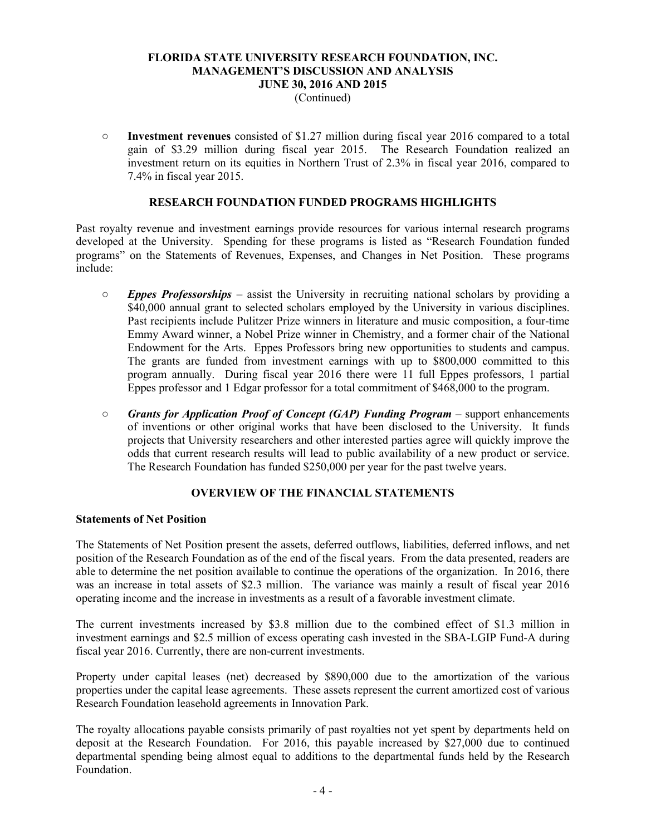**○ Investment revenues** consisted of \$1.27 million during fiscal year 2016 compared to a total gain of \$3.29 million during fiscal year 2015. The Research Foundation realized an investment return on its equities in Northern Trust of 2.3% in fiscal year 2016, compared to 7.4% in fiscal year 2015.

## **RESEARCH FOUNDATION FUNDED PROGRAMS HIGHLIGHTS**

Past royalty revenue and investment earnings provide resources for various internal research programs developed at the University. Spending for these programs is listed as "Research Foundation funded programs" on the Statements of Revenues, Expenses, and Changes in Net Position. These programs include:

- **○** *Eppes Professorships* assist the University in recruiting national scholars by providing a \$40,000 annual grant to selected scholars employed by the University in various disciplines. Past recipients include Pulitzer Prize winners in literature and music composition, a four-time Emmy Award winner, a Nobel Prize winner in Chemistry, and a former chair of the National Endowment for the Arts. Eppes Professors bring new opportunities to students and campus. The grants are funded from investment earnings with up to \$800,000 committed to this program annually. During fiscal year 2016 there were 11 full Eppes professors, 1 partial Eppes professor and 1 Edgar professor for a total commitment of \$468,000 to the program.
- **○** *Grants for Application Proof of Concept (GAP) Funding Program*  support enhancements of inventions or other original works that have been disclosed to the University. It funds projects that University researchers and other interested parties agree will quickly improve the odds that current research results will lead to public availability of a new product or service. The Research Foundation has funded \$250,000 per year for the past twelve years.

# **OVERVIEW OF THE FINANCIAL STATEMENTS**

### **Statements of Net Position**

The Statements of Net Position present the assets, deferred outflows, liabilities, deferred inflows, and net position of the Research Foundation as of the end of the fiscal years. From the data presented, readers are able to determine the net position available to continue the operations of the organization. In 2016, there was an increase in total assets of \$2.3 million. The variance was mainly a result of fiscal year 2016 operating income and the increase in investments as a result of a favorable investment climate.

The current investments increased by \$3.8 million due to the combined effect of \$1.3 million in investment earnings and \$2.5 million of excess operating cash invested in the SBA-LGIP Fund-A during fiscal year 2016. Currently, there are non-current investments.

Property under capital leases (net) decreased by \$890,000 due to the amortization of the various properties under the capital lease agreements. These assets represent the current amortized cost of various Research Foundation leasehold agreements in Innovation Park.

The royalty allocations payable consists primarily of past royalties not yet spent by departments held on deposit at the Research Foundation. For 2016, this payable increased by \$27,000 due to continued departmental spending being almost equal to additions to the departmental funds held by the Research Foundation.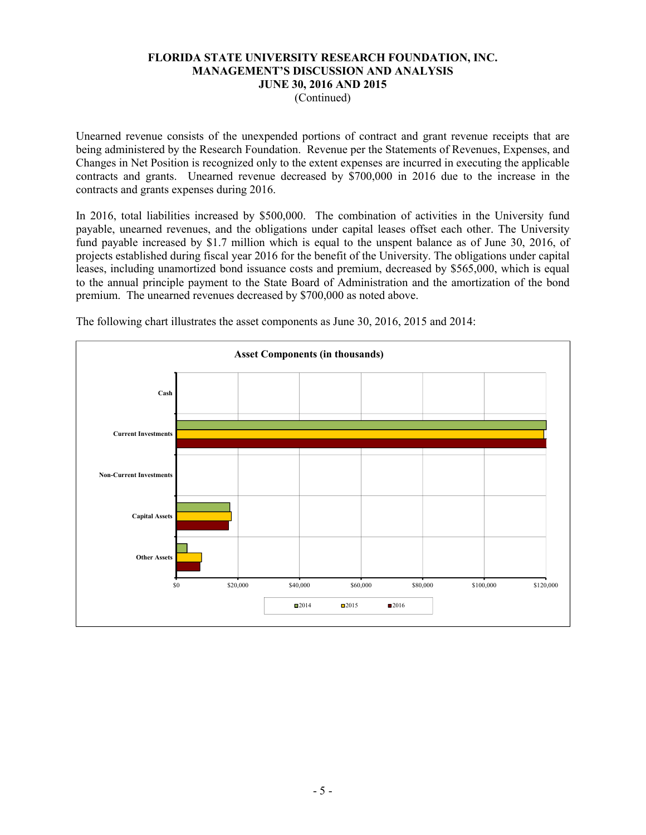Unearned revenue consists of the unexpended portions of contract and grant revenue receipts that are being administered by the Research Foundation. Revenue per the Statements of Revenues, Expenses, and Changes in Net Position is recognized only to the extent expenses are incurred in executing the applicable contracts and grants. Unearned revenue decreased by \$700,000 in 2016 due to the increase in the contracts and grants expenses during 2016.

In 2016, total liabilities increased by \$500,000. The combination of activities in the University fund payable, unearned revenues, and the obligations under capital leases offset each other. The University fund payable increased by \$1.7 million which is equal to the unspent balance as of June 30, 2016, of projects established during fiscal year 2016 for the benefit of the University. The obligations under capital leases, including unamortized bond issuance costs and premium, decreased by \$565,000, which is equal to the annual principle payment to the State Board of Administration and the amortization of the bond premium. The unearned revenues decreased by \$700,000 as noted above.



The following chart illustrates the asset components as June 30, 2016, 2015 and 2014: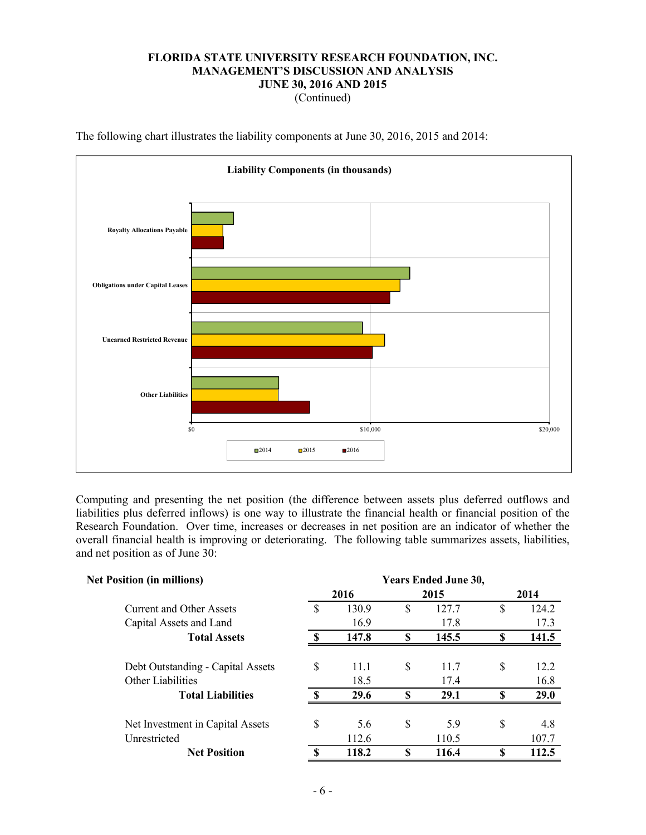

The following chart illustrates the liability components at June 30, 2016, 2015 and 2014:

Computing and presenting the net position (the difference between assets plus deferred outflows and liabilities plus deferred inflows) is one way to illustrate the financial health or financial position of the Research Foundation. Over time, increases or decreases in net position are an indicator of whether the overall financial health is improving or deteriorating. The following table summarizes assets, liabilities, and net position as of June 30:

| <b>Net Position (in millions)</b> |          |       | <b>Years Ended June 30,</b> |    |       |
|-----------------------------------|----------|-------|-----------------------------|----|-------|
|                                   |          | 2016  | 2015                        |    | 2014  |
| Current and Other Assets          | \$       | 130.9 | \$<br>127.7                 | S  | 124.2 |
| Capital Assets and Land           |          | 16.9  | 17.8                        |    | 17.3  |
| <b>Total Assets</b>               | <b>S</b> | 147.8 | \$<br>145.5                 | \$ | 141.5 |
|                                   |          |       |                             |    |       |
| Debt Outstanding - Capital Assets | \$       | 11.1  | \$<br>11.7                  | \$ | 12.2  |
| Other Liabilities                 |          | 18.5  | 17.4                        |    | 16.8  |
| <b>Total Liabilities</b>          | S        | 29.6  | \$<br>29.1                  | ¢  | 29.0  |
| Net Investment in Capital Assets  | \$       | 5.6   | \$<br>5.9                   | \$ | 4.8   |
|                                   |          |       |                             |    |       |
| Unrestricted                      |          | 112.6 | 110.5                       |    | 107.7 |
| <b>Net Position</b>               |          | 118.2 | \$<br>116.4                 | \$ | 112.5 |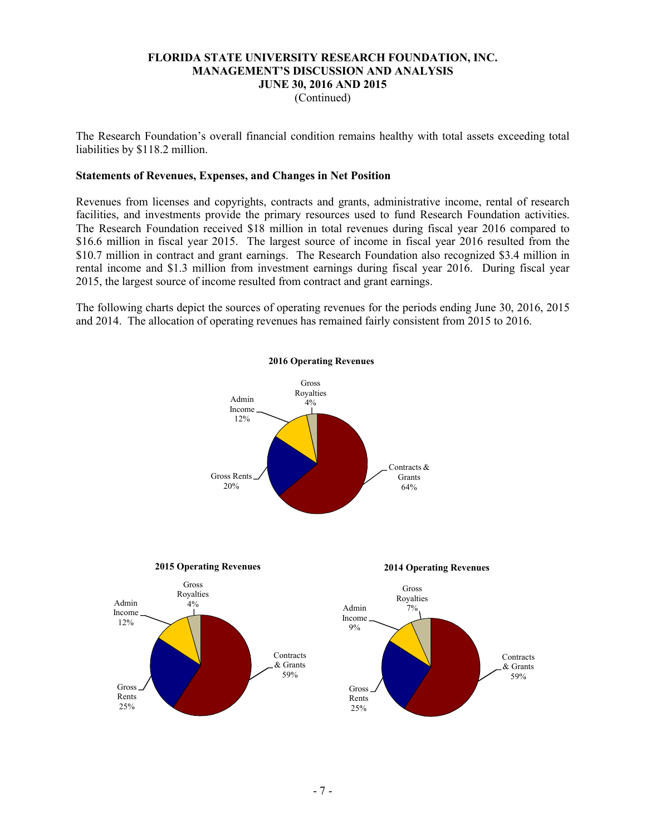The Research Foundation's overall financial condition remains healthy with total assets exceeding total liabilities by \$118.2 million.

#### **Statements of Revenues, Expenses, and Changes in Net Position**

Revenues from licenses and copyrights, contracts and grants, administrative income, rental of research facilities, and investments provide the primary resources used to fund Research Foundation activities. The Research Foundation received \$18 million in total revenues during fiscal year 2016 compared to \$16.6 million in fiscal year 2015. The largest source of income in fiscal year 2016 resulted from the \$10.7 million in contract and grant earnings. The Research Foundation also recognized \$3.4 million in rental income and \$1.3 million from investment earnings during fiscal year 2016. During fiscal year 2015, the largest source of income resulted from contract and grant earnings.

The following charts depict the sources of operating revenues for the periods ending June 30, 2016, 2015 and 2014. The allocation of operating revenues has remained fairly consistent from 2015 to 2016.

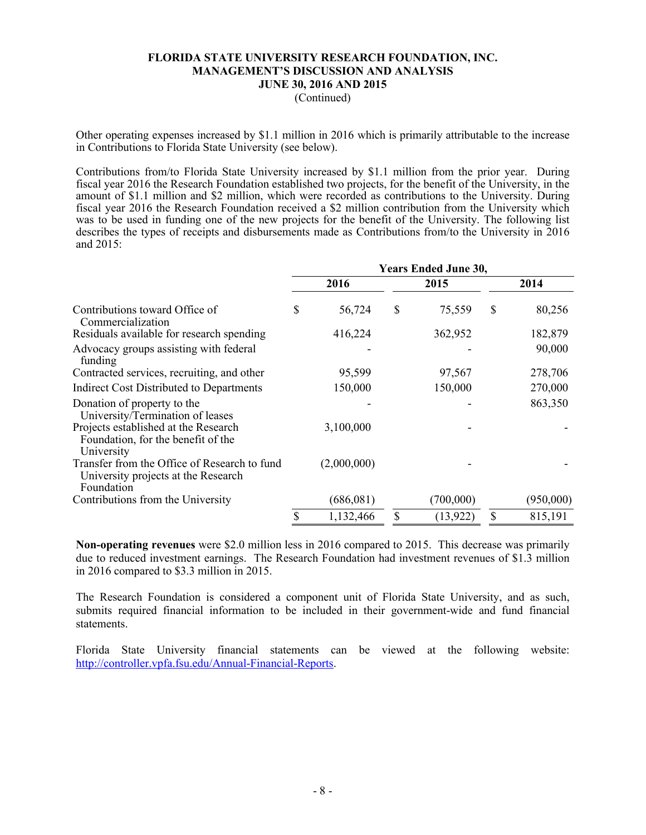(Continued)

Other operating expenses increased by \$1.1 million in 2016 which is primarily attributable to the increase in Contributions to Florida State University (see below).

Contributions from/to Florida State University increased by \$1.1 million from the prior year. During fiscal year 2016 the Research Foundation established two projects, for the benefit of the University, in the amount of \$1.1 million and \$2 million, which were recorded as contributions to the University. During fiscal year 2016 the Research Foundation received a \$2 million contribution from the University which was to be used in funding one of the new projects for the benefit of the University. The following list describes the types of receipts and disbursements made as Contributions from/to the University in 2016 and 2015:

|                                                                                                   | <b>Years Ended June 30,</b> |             |    |           |    |           |
|---------------------------------------------------------------------------------------------------|-----------------------------|-------------|----|-----------|----|-----------|
|                                                                                                   |                             | 2016        |    | 2015      |    | 2014      |
| Contributions toward Office of<br>Commercialization                                               | \$                          | 56,724      | \$ | 75,559    | \$ | 80,256    |
| Residuals available for research spending                                                         |                             | 416,224     |    | 362,952   |    | 182,879   |
| Advocacy groups assisting with federal<br>funding                                                 |                             |             |    |           |    | 90,000    |
| Contracted services, recruiting, and other                                                        |                             | 95,599      |    | 97,567    |    | 278,706   |
| <b>Indirect Cost Distributed to Departments</b>                                                   |                             | 150,000     |    | 150,000   |    | 270,000   |
| Donation of property to the<br>University/Termination of leases                                   |                             |             |    |           |    | 863,350   |
| Projects established at the Research<br>Foundation, for the benefit of the<br>University          |                             | 3,100,000   |    |           |    |           |
| Transfer from the Office of Research to fund<br>University projects at the Research<br>Foundation |                             | (2,000,000) |    |           |    |           |
| Contributions from the University                                                                 |                             | (686,081)   |    | (700,000) |    | (950,000) |
|                                                                                                   | \$                          | 1,132,466   | \$ | (13, 922) | \$ | 815,191   |

**Non-operating revenues** were \$2.0 million less in 2016 compared to 2015. This decrease was primarily due to reduced investment earnings. The Research Foundation had investment revenues of \$1.3 million in 2016 compared to \$3.3 million in 2015.

The Research Foundation is considered a component unit of Florida State University, and as such, submits required financial information to be included in their government-wide and fund financial statements.

Florida State University financial statements can be viewed at the following website: http://controller.vpfa.fsu.edu/Annual-Financial-Reports.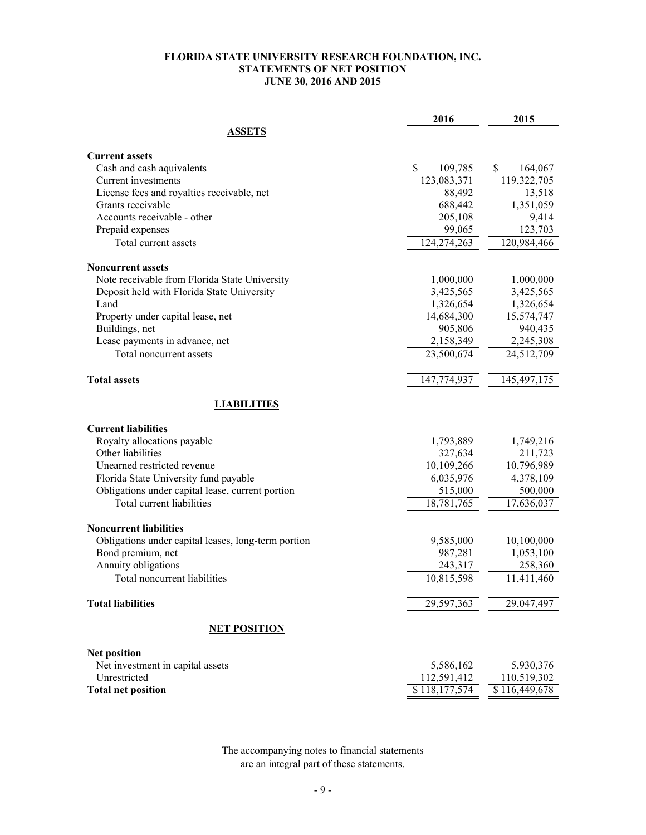#### **FLORIDA STATE UNIVERSITY RESEARCH FOUNDATION, INC. STATEMENTS OF NET POSITION JUNE 30, 2016 AND 2015**

|                                                     | 2016          | 2015          |
|-----------------------------------------------------|---------------|---------------|
| ASSETS                                              |               |               |
| <b>Current assets</b>                               |               |               |
| Cash and cash aquivalents                           | \$<br>109,785 | \$<br>164,067 |
| Current investments                                 | 123,083,371   | 119,322,705   |
| License fees and royalties receivable, net          | 88,492        | 13,518        |
| Grants receivable                                   | 688,442       | 1,351,059     |
| Accounts receivable - other                         | 205,108       | 9,414         |
| Prepaid expenses                                    | 99,065        | 123,703       |
| Total current assets                                | 124,274,263   | 120,984,466   |
| <b>Noncurrent assets</b>                            |               |               |
| Note receivable from Florida State University       | 1,000,000     | 1,000,000     |
| Deposit held with Florida State University          | 3,425,565     | 3,425,565     |
| Land                                                | 1,326,654     | 1,326,654     |
| Property under capital lease, net                   | 14,684,300    | 15,574,747    |
| Buildings, net                                      | 905,806       | 940,435       |
| Lease payments in advance, net                      | 2,158,349     | 2,245,308     |
| Total noncurrent assets                             | 23,500,674    | 24,512,709    |
| <b>Total assets</b>                                 | 147,774,937   | 145, 497, 175 |
| <b>LIABILITIES</b>                                  |               |               |
| <b>Current liabilities</b>                          |               |               |
| Royalty allocations payable                         | 1,793,889     | 1,749,216     |
| Other liabilities                                   | 327,634       | 211,723       |
| Unearned restricted revenue                         | 10,109,266    | 10,796,989    |
| Florida State University fund payable               | 6,035,976     | 4,378,109     |
| Obligations under capital lease, current portion    | 515,000       | 500,000       |
| Total current liabilities                           | 18,781,765    | 17,636,037    |
| <b>Noncurrent liabilities</b>                       |               |               |
| Obligations under capital leases, long-term portion | 9,585,000     | 10,100,000    |
| Bond premium, net                                   | 987,281       | 1,053,100     |
| Annuity obligations                                 | 243,317       | 258,360       |
| Total noncurrent liabilities                        | 10,815,598    | 11,411,460    |
| <b>Total liabilities</b>                            | 29,597,363    | 29,047,497    |
| <b>NET POSITION</b>                                 |               |               |
| <b>Net position</b>                                 |               |               |
| Net investment in capital assets                    | 5,586,162     | 5,930,376     |
| Unrestricted                                        | 112,591,412   | 110,519,302   |
| <b>Total net position</b>                           | \$118,177,574 | \$116,449,678 |

The accompanying notes to financial statements are an integral part of these statements.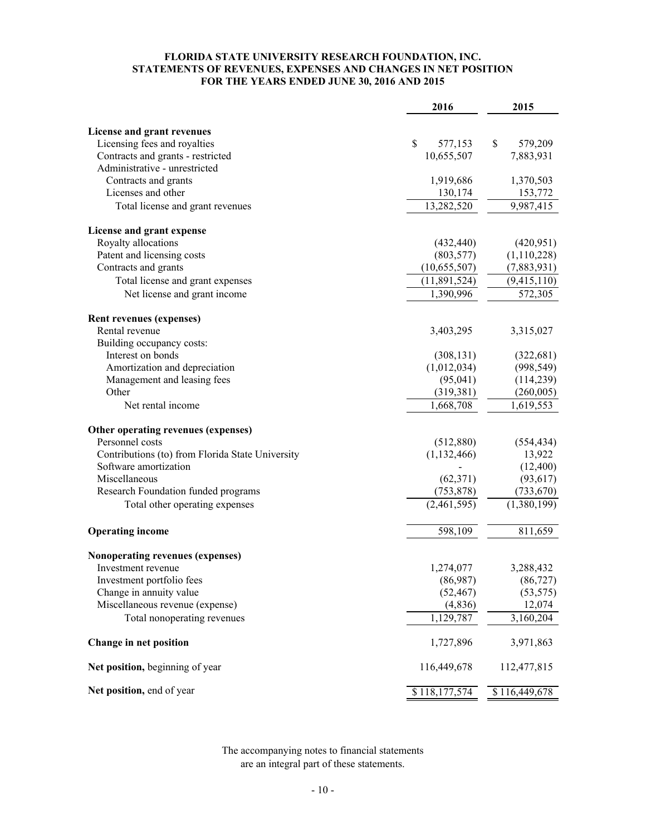#### **FLORIDA STATE UNIVERSITY RESEARCH FOUNDATION, INC. STATEMENTS OF REVENUES, EXPENSES AND CHANGES IN NET POSITION FOR THE YEARS ENDED JUNE 30, 2016 AND 2015**

|                                                  | 2016           | 2015          |
|--------------------------------------------------|----------------|---------------|
|                                                  |                |               |
| License and grant revenues                       |                |               |
| Licensing fees and royalties                     | \$<br>577,153  | \$<br>579,209 |
| Contracts and grants - restricted                | 10,655,507     | 7,883,931     |
| Administrative - unrestricted                    |                |               |
| Contracts and grants                             | 1,919,686      | 1,370,503     |
| Licenses and other                               | 130,174        | 153,772       |
| Total license and grant revenues                 | 13,282,520     | 9,987,415     |
| License and grant expense                        |                |               |
| Royalty allocations                              | (432, 440)     | (420, 951)    |
| Patent and licensing costs                       | (803, 577)     | (1,110,228)   |
| Contracts and grants                             | (10, 655, 507) | (7,883,931)   |
| Total license and grant expenses                 | (11,891,524)   | (9,415,110)   |
| Net license and grant income                     | 1,390,996      | 572,305       |
| Rent revenues (expenses)                         |                |               |
| Rental revenue                                   | 3,403,295      | 3,315,027     |
| Building occupancy costs:                        |                |               |
| Interest on bonds                                | (308, 131)     | (322, 681)    |
| Amortization and depreciation                    | (1,012,034)    | (998, 549)    |
| Management and leasing fees                      | (95,041)       | (114, 239)    |
| Other                                            | (319, 381)     | (260, 005)    |
| Net rental income                                | 1,668,708      | 1,619,553     |
|                                                  |                |               |
| Other operating revenues (expenses)              |                |               |
| Personnel costs                                  | (512,880)      | (554, 434)    |
| Contributions (to) from Florida State University | (1, 132, 466)  | 13,922        |
| Software amortization                            |                | (12, 400)     |
| Miscellaneous                                    | (62, 371)      | (93, 617)     |
| Research Foundation funded programs              | (753, 878)     | (733, 670)    |
| Total other operating expenses                   | (2,461,595)    | (1,380,199)   |
| <b>Operating income</b>                          | 598,109        | 811,659       |
|                                                  |                |               |
| Nonoperating revenues (expenses)                 |                |               |
| Investment revenue                               | 1,274,077      | 3,288,432     |
| Investment portfolio fees                        | (86,987)       | (86, 727)     |
| Change in annuity value                          | (52, 467)      | (53, 575)     |
| Miscellaneous revenue (expense)                  | (4,836)        | 12,074        |
| Total nonoperating revenues                      | 1,129,787      | 3,160,204     |
| Change in net position                           | 1,727,896      | 3,971,863     |
| Net position, beginning of year                  | 116,449,678    | 112,477,815   |
| Net position, end of year                        | \$118,177,574  | \$116,449,678 |

The accompanying notes to financial statements are an integral part of these statements.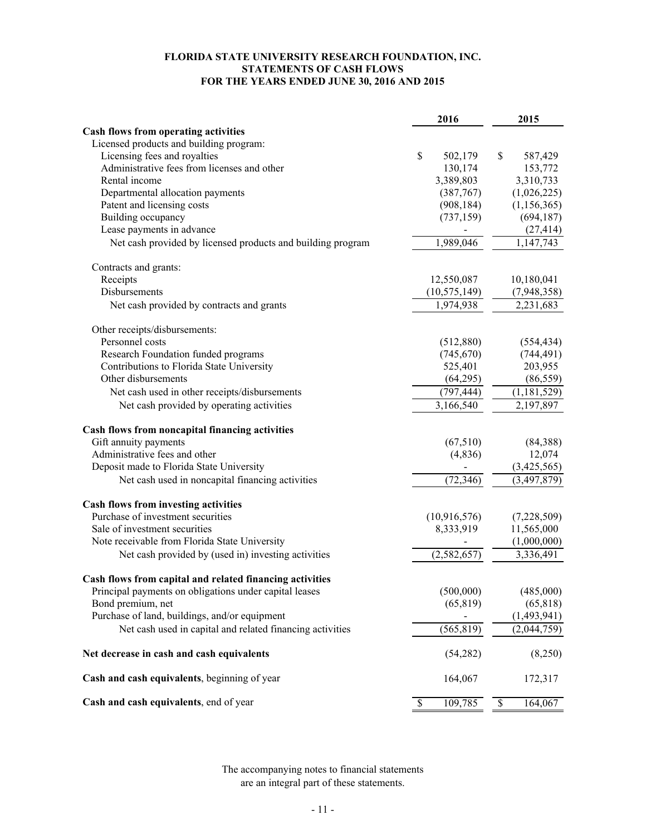#### **FLORIDA STATE UNIVERSITY RESEARCH FOUNDATION, INC. STATEMENTS OF CASH FLOWS FOR THE YEARS ENDED JUNE 30, 2016 AND 2015**

|                                                             | 2016                                | 2015                  |
|-------------------------------------------------------------|-------------------------------------|-----------------------|
| Cash flows from operating activities                        |                                     |                       |
| Licensed products and building program:                     |                                     |                       |
| Licensing fees and royalties                                | \$<br>502,179                       | \$<br>587,429         |
| Administrative fees from licenses and other                 | 130,174                             | 153,772               |
| Rental income                                               | 3,389,803                           | 3,310,733             |
| Departmental allocation payments                            | (387,767)                           | (1,026,225)           |
| Patent and licensing costs                                  | (908, 184)                          | (1, 156, 365)         |
| Building occupancy                                          | (737, 159)                          | (694, 187)            |
| Lease payments in advance                                   |                                     | (27, 414)             |
| Net cash provided by licensed products and building program | 1,989,046                           | 1,147,743             |
|                                                             |                                     |                       |
| Contracts and grants:                                       |                                     |                       |
| Receipts                                                    | 12,550,087                          | 10,180,041            |
| Disbursements                                               | (10, 575, 149)                      | (7,948,358)           |
| Net cash provided by contracts and grants                   | 1,974,938                           | 2,231,683             |
|                                                             |                                     |                       |
| Other receipts/disbursements:                               |                                     |                       |
| Personnel costs                                             | (512, 880)                          | (554, 434)            |
| Research Foundation funded programs                         | (745, 670)                          | (744, 491)            |
| Contributions to Florida State University                   | 525,401                             | 203,955               |
| Other disbursements                                         | (64,295)                            | (86, 559)             |
| Net cash used in other receipts/disbursements               | (797, 444)                          | (1, 181, 529)         |
| Net cash provided by operating activities                   | 3,166,540                           | 2,197,897             |
| Cash flows from noncapital financing activities             |                                     |                       |
| Gift annuity payments                                       | (67, 510)                           | (84,388)              |
| Administrative fees and other                               | (4, 836)                            | 12,074                |
| Deposit made to Florida State University                    |                                     |                       |
|                                                             |                                     | (3,425,565)           |
| Net cash used in noncapital financing activities            | (72, 346)                           | (3, 497, 879)         |
| Cash flows from investing activities                        |                                     |                       |
| Purchase of investment securities                           | (10,916,576)                        | (7,228,509)           |
| Sale of investment securities                               | 8,333,919                           | 11,565,000            |
| Note receivable from Florida State University               |                                     | (1,000,000)           |
| Net cash provided by (used in) investing activities         | (2, 582, 657)                       | 3,336,491             |
|                                                             |                                     |                       |
| Cash flows from capital and related financing activities    |                                     |                       |
| Principal payments on obligations under capital leases      | (500,000)                           | (485,000)             |
| Bond premium, net                                           | (65, 819)                           | (65, 818)             |
| Purchase of land, buildings, and/or equipment               |                                     | (1,493,941)           |
| Net cash used in capital and related financing activities   | (565, 819)                          | (2,044,759)           |
| Net decrease in cash and cash equivalents                   | (54, 282)                           | (8,250)               |
| Cash and cash equivalents, beginning of year                | 164,067                             | 172,317               |
| Cash and cash equivalents, end of year                      | $\overline{\mathcal{S}}$<br>109,785 | $\sqrt{3}$<br>164,067 |
|                                                             |                                     |                       |

The accompanying notes to financial statements are an integral part of these statements.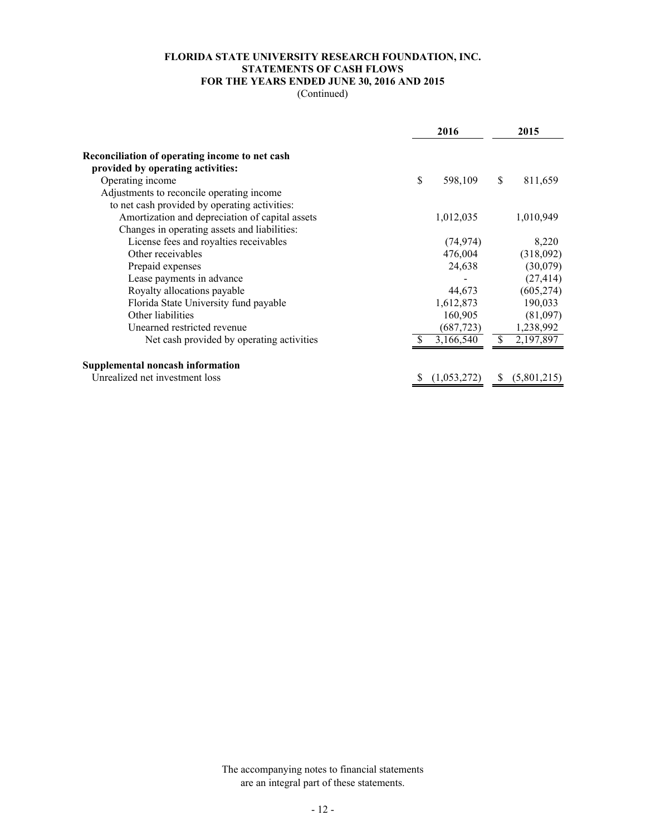#### **FLORIDA STATE UNIVERSITY RESEARCH FOUNDATION, INC. STATEMENTS OF CASH FLOWS FOR THE YEARS ENDED JUNE 30, 2016 AND 2015**

(Continued)

|                                                                                     | 2016          |    | 2015        |
|-------------------------------------------------------------------------------------|---------------|----|-------------|
| Reconciliation of operating income to net cash<br>provided by operating activities: |               |    |             |
| Operating income                                                                    | \$<br>598,109 | \$ | 811,659     |
| Adjustments to reconcile operating income                                           |               |    |             |
| to net cash provided by operating activities:                                       |               |    |             |
| Amortization and depreciation of capital assets                                     | 1,012,035     |    | 1,010,949   |
| Changes in operating assets and liabilities:                                        |               |    |             |
| License fees and royalties receivables                                              | (74, 974)     |    | 8,220       |
| Other receivables                                                                   | 476,004       |    | (318,092)   |
| Prepaid expenses                                                                    | 24,638        |    | (30,079)    |
| Lease payments in advance                                                           |               |    | (27, 414)   |
| Royalty allocations payable                                                         | 44,673        |    | (605, 274)  |
| Florida State University fund payable                                               | 1,612,873     |    | 190,033     |
| Other liabilities                                                                   | 160,905       |    | (81,097)    |
| Unearned restricted revenue                                                         | (687, 723)    |    | 1,238,992   |
| Net cash provided by operating activities                                           | 3,166,540     |    | 2,197,897   |
| Supplemental noncash information                                                    |               |    |             |
| Unrealized net investment loss                                                      | (1,053,272)   | УŚ | (5,801,215) |

The accompanying notes to financial statements are an integral part of these statements.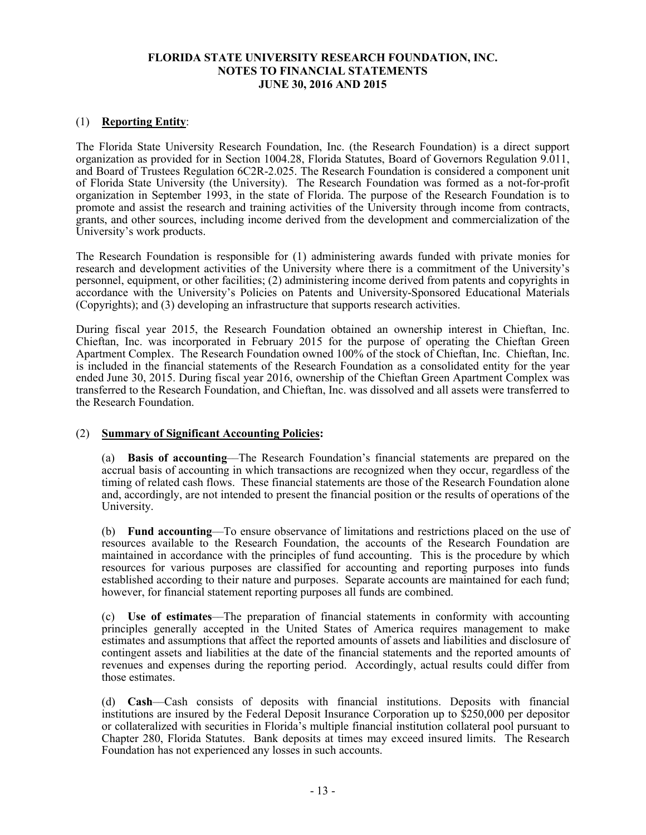## (1) **Reporting Entity**:

The Florida State University Research Foundation, Inc. (the Research Foundation) is a direct support organization as provided for in Section 1004.28, Florida Statutes, Board of Governors Regulation 9.011, and Board of Trustees Regulation 6C2R-2.025. The Research Foundation is considered a component unit of Florida State University (the University). The Research Foundation was formed as a not-for-profit organization in September 1993, in the state of Florida. The purpose of the Research Foundation is to promote and assist the research and training activities of the University through income from contracts, grants, and other sources, including income derived from the development and commercialization of the University's work products.

The Research Foundation is responsible for (1) administering awards funded with private monies for research and development activities of the University where there is a commitment of the University's personnel, equipment, or other facilities; (2) administering income derived from patents and copyrights in accordance with the University's Policies on Patents and University-Sponsored Educational Materials (Copyrights); and (3) developing an infrastructure that supports research activities.

During fiscal year 2015, the Research Foundation obtained an ownership interest in Chieftan, Inc. Chieftan, Inc. was incorporated in February 2015 for the purpose of operating the Chieftan Green Apartment Complex. The Research Foundation owned 100% of the stock of Chieftan, Inc. Chieftan, Inc. is included in the financial statements of the Research Foundation as a consolidated entity for the year ended June 30, 2015. During fiscal year 2016, ownership of the Chieftan Green Apartment Complex was transferred to the Research Foundation, and Chieftan, Inc. was dissolved and all assets were transferred to the Research Foundation.

### (2) **Summary of Significant Accounting Policies:**

(a) **Basis of accounting**––The Research Foundation's financial statements are prepared on the accrual basis of accounting in which transactions are recognized when they occur, regardless of the timing of related cash flows. These financial statements are those of the Research Foundation alone and, accordingly, are not intended to present the financial position or the results of operations of the University.

(b) **Fund accounting**––To ensure observance of limitations and restrictions placed on the use of resources available to the Research Foundation, the accounts of the Research Foundation are maintained in accordance with the principles of fund accounting. This is the procedure by which resources for various purposes are classified for accounting and reporting purposes into funds established according to their nature and purposes. Separate accounts are maintained for each fund; however, for financial statement reporting purposes all funds are combined.

(c) **Use of estimates**––The preparation of financial statements in conformity with accounting principles generally accepted in the United States of America requires management to make estimates and assumptions that affect the reported amounts of assets and liabilities and disclosure of contingent assets and liabilities at the date of the financial statements and the reported amounts of revenues and expenses during the reporting period. Accordingly, actual results could differ from those estimates.

(d) **Cash**––Cash consists of deposits with financial institutions. Deposits with financial institutions are insured by the Federal Deposit Insurance Corporation up to \$250,000 per depositor or collateralized with securities in Florida's multiple financial institution collateral pool pursuant to Chapter 280, Florida Statutes. Bank deposits at times may exceed insured limits. The Research Foundation has not experienced any losses in such accounts.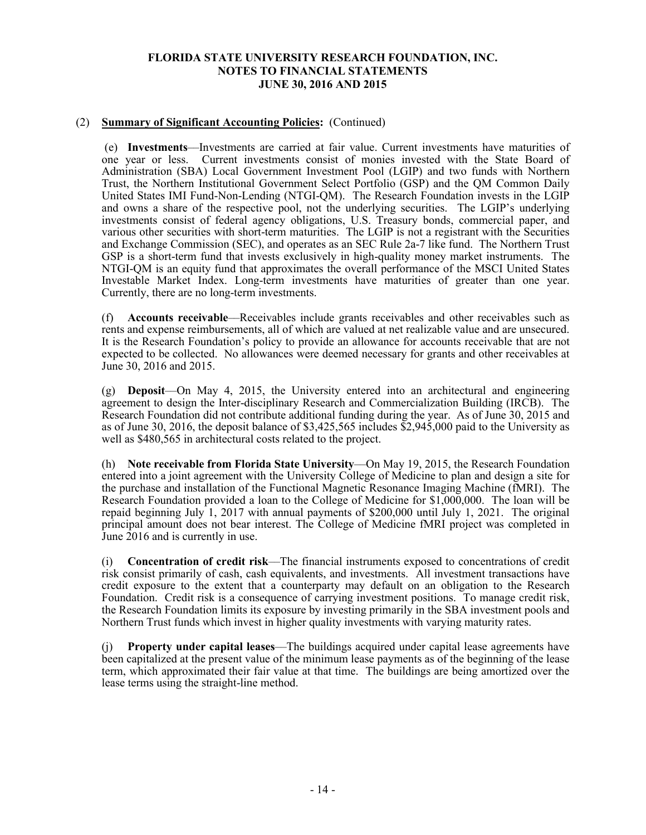## (2) **Summary of Significant Accounting Policies:** (Continued)

(e) **Investments**––Investments are carried at fair value. Current investments have maturities of one year or less. Current investments consist of monies invested with the State Board of Administration (SBA) Local Government Investment Pool (LGIP) and two funds with Northern Trust, the Northern Institutional Government Select Portfolio (GSP) and the QM Common Daily United States IMI Fund-Non-Lending (NTGI-QM). The Research Foundation invests in the LGIP and owns a share of the respective pool, not the underlying securities. The LGIP's underlying investments consist of federal agency obligations, U.S. Treasury bonds, commercial paper, and various other securities with short-term maturities. The LGIP is not a registrant with the Securities and Exchange Commission (SEC), and operates as an SEC Rule 2a-7 like fund. The Northern Trust GSP is a short-term fund that invests exclusively in high-quality money market instruments. The NTGI-QM is an equity fund that approximates the overall performance of the MSCI United States Investable Market Index. Long-term investments have maturities of greater than one year. Currently, there are no long-term investments.

(f) **Accounts receivable**––Receivables include grants receivables and other receivables such as rents and expense reimbursements, all of which are valued at net realizable value and are unsecured. It is the Research Foundation's policy to provide an allowance for accounts receivable that are not expected to be collected. No allowances were deemed necessary for grants and other receivables at June 30, 2016 and 2015.

(g) **Deposit**––On May 4, 2015, the University entered into an architectural and engineering agreement to design the Inter-disciplinary Research and Commercialization Building (IRCB). The Research Foundation did not contribute additional funding during the year. As of June 30, 2015 and as of June 30, 2016, the deposit balance of \$3,425,565 includes \$2,945,000 paid to the University as well as \$480,565 in architectural costs related to the project.

(h) **Note receivable from Florida State University**––On May 19, 2015, the Research Foundation entered into a joint agreement with the University College of Medicine to plan and design a site for the purchase and installation of the Functional Magnetic Resonance Imaging Machine (fMRI). The Research Foundation provided a loan to the College of Medicine for \$1,000,000. The loan will be repaid beginning July 1, 2017 with annual payments of \$200,000 until July 1, 2021. The original principal amount does not bear interest. The College of Medicine fMRI project was completed in June 2016 and is currently in use.

(i) **Concentration of credit risk**––The financial instruments exposed to concentrations of credit risk consist primarily of cash, cash equivalents, and investments. All investment transactions have credit exposure to the extent that a counterparty may default on an obligation to the Research Foundation. Credit risk is a consequence of carrying investment positions. To manage credit risk, the Research Foundation limits its exposure by investing primarily in the SBA investment pools and Northern Trust funds which invest in higher quality investments with varying maturity rates.

(j) **Property under capital leases**––The buildings acquired under capital lease agreements have been capitalized at the present value of the minimum lease payments as of the beginning of the lease term, which approximated their fair value at that time. The buildings are being amortized over the lease terms using the straight-line method.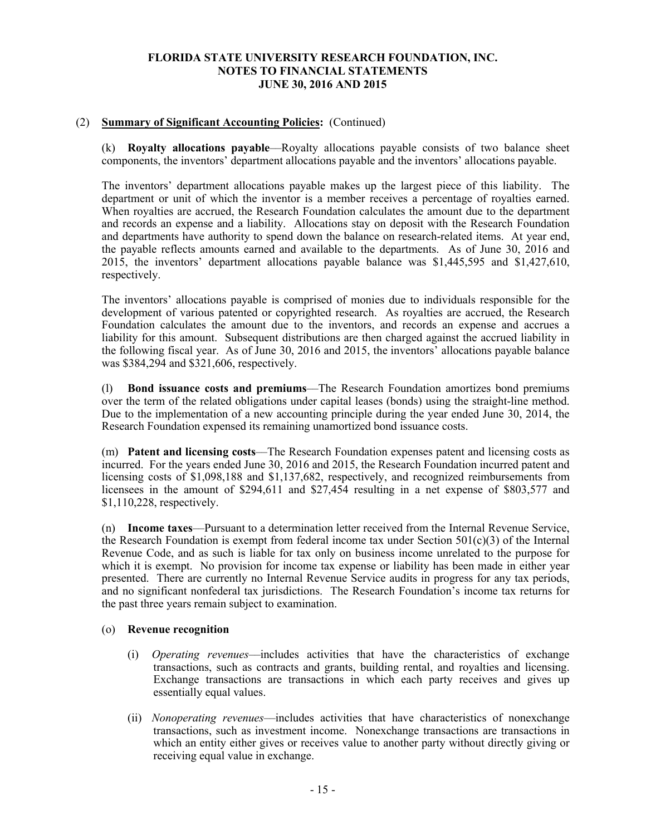### (2) **Summary of Significant Accounting Policies:** (Continued)

(k) **Royalty allocations payable**––Royalty allocations payable consists of two balance sheet components, the inventors' department allocations payable and the inventors' allocations payable.

The inventors' department allocations payable makes up the largest piece of this liability. The department or unit of which the inventor is a member receives a percentage of royalties earned. When royalties are accrued, the Research Foundation calculates the amount due to the department and records an expense and a liability. Allocations stay on deposit with the Research Foundation and departments have authority to spend down the balance on research-related items. At year end, the payable reflects amounts earned and available to the departments. As of June 30, 2016 and 2015, the inventors' department allocations payable balance was \$1,445,595 and \$1,427,610, respectively.

The inventors' allocations payable is comprised of monies due to individuals responsible for the development of various patented or copyrighted research. As royalties are accrued, the Research Foundation calculates the amount due to the inventors, and records an expense and accrues a liability for this amount. Subsequent distributions are then charged against the accrued liability in the following fiscal year. As of June 30, 2016 and 2015, the inventors' allocations payable balance was \$384,294 and \$321,606, respectively.

(l) **Bond issuance costs and premiums**––The Research Foundation amortizes bond premiums over the term of the related obligations under capital leases (bonds) using the straight-line method. Due to the implementation of a new accounting principle during the year ended June 30, 2014, the Research Foundation expensed its remaining unamortized bond issuance costs.

(m) **Patent and licensing costs**––The Research Foundation expenses patent and licensing costs as incurred. For the years ended June 30, 2016 and 2015, the Research Foundation incurred patent and licensing costs of \$1,098,188 and \$1,137,682, respectively, and recognized reimbursements from licensees in the amount of \$294,611 and \$27,454 resulting in a net expense of \$803,577 and \$1,110,228, respectively.

(n) **Income taxes**––Pursuant to a determination letter received from the Internal Revenue Service, the Research Foundation is exempt from federal income tax under Section  $501(c)(3)$  of the Internal Revenue Code, and as such is liable for tax only on business income unrelated to the purpose for which it is exempt. No provision for income tax expense or liability has been made in either year presented. There are currently no Internal Revenue Service audits in progress for any tax periods, and no significant nonfederal tax jurisdictions. The Research Foundation's income tax returns for the past three years remain subject to examination.

### (o) **Revenue recognition**

- (i) *Operating revenues*––includes activities that have the characteristics of exchange transactions, such as contracts and grants, building rental, and royalties and licensing. Exchange transactions are transactions in which each party receives and gives up essentially equal values.
- (ii) *Nonoperating revenues*––includes activities that have characteristics of nonexchange transactions, such as investment income. Nonexchange transactions are transactions in which an entity either gives or receives value to another party without directly giving or receiving equal value in exchange.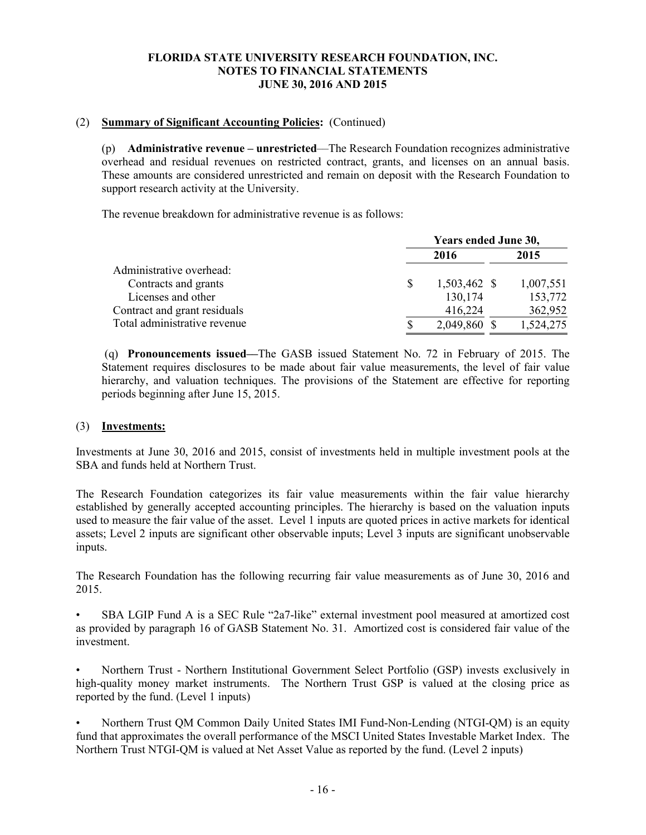## (2) **Summary of Significant Accounting Policies:** (Continued)

(p) **Administrative revenue – unrestricted**––The Research Foundation recognizes administrative overhead and residual revenues on restricted contract, grants, and licenses on an annual basis. These amounts are considered unrestricted and remain on deposit with the Research Foundation to support research activity at the University.

The revenue breakdown for administrative revenue is as follows:

|                              | <b>Years ended June 30,</b> |              |  |           |
|------------------------------|-----------------------------|--------------|--|-----------|
|                              |                             | 2016         |  | 2015      |
| Administrative overhead:     |                             |              |  |           |
| Contracts and grants         | S                           | 1,503,462 \$ |  | 1,007,551 |
| Licenses and other           |                             | 130,174      |  | 153,772   |
| Contract and grant residuals |                             | 416,224      |  | 362,952   |
| Total administrative revenue |                             | 2,049,860 \$ |  | 1,524,275 |

(q) **Pronouncements issued––**The GASB issued Statement No. 72 in February of 2015. The Statement requires disclosures to be made about fair value measurements, the level of fair value hierarchy, and valuation techniques. The provisions of the Statement are effective for reporting periods beginning after June 15, 2015.

### (3) **Investments:**

Investments at June 30, 2016 and 2015, consist of investments held in multiple investment pools at the SBA and funds held at Northern Trust.

The Research Foundation categorizes its fair value measurements within the fair value hierarchy established by generally accepted accounting principles. The hierarchy is based on the valuation inputs used to measure the fair value of the asset. Level 1 inputs are quoted prices in active markets for identical assets; Level 2 inputs are significant other observable inputs; Level 3 inputs are significant unobservable inputs.

The Research Foundation has the following recurring fair value measurements as of June 30, 2016 and 2015.

• SBA LGIP Fund A is a SEC Rule "2a7-like" external investment pool measured at amortized cost as provided by paragraph 16 of GASB Statement No. 31. Amortized cost is considered fair value of the investment.

• Northern Trust - Northern Institutional Government Select Portfolio (GSP) invests exclusively in high-quality money market instruments. The Northern Trust GSP is valued at the closing price as reported by the fund. (Level 1 inputs)

• Northern Trust QM Common Daily United States IMI Fund-Non-Lending (NTGI-QM) is an equity fund that approximates the overall performance of the MSCI United States Investable Market Index. The Northern Trust NTGI-QM is valued at Net Asset Value as reported by the fund. (Level 2 inputs)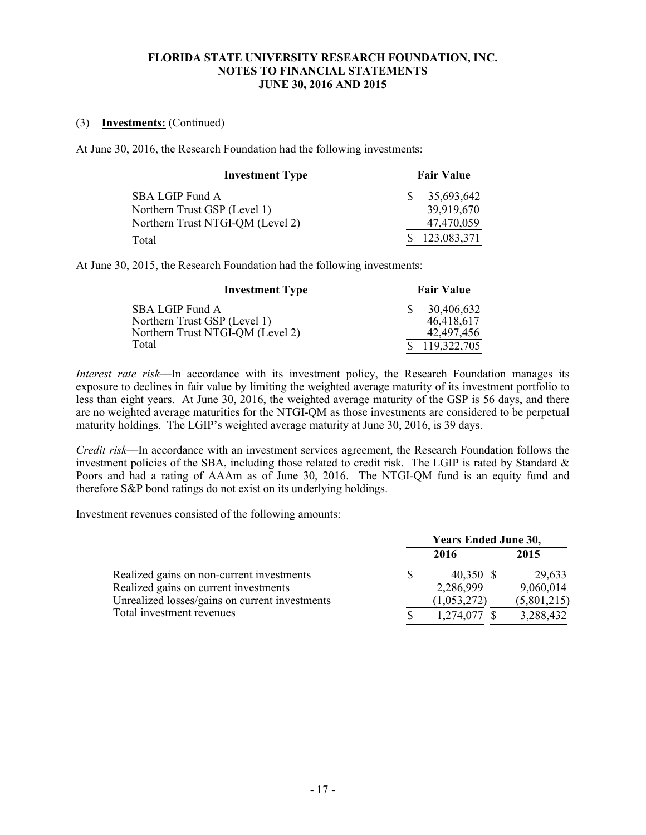## (3) **Investments:** (Continued)

At June 30, 2016, the Research Foundation had the following investments:

| <b>Investment Type</b>           |               | <b>Fair Value</b> |  |  |
|----------------------------------|---------------|-------------------|--|--|
| SBA LGIP Fund A                  | 35,693,642    |                   |  |  |
| Northern Trust GSP (Level 1)     | 39,919,670    |                   |  |  |
| Northern Trust NTGI-QM (Level 2) | 47,470,059    |                   |  |  |
| Total                            | \$123,083,371 |                   |  |  |

At June 30, 2015, the Research Foundation had the following investments:

| <b>Investment Type</b>           | <b>Fair Value</b> |
|----------------------------------|-------------------|
| SBA LGIP Fund A                  | 30,406,632        |
| Northern Trust GSP (Level 1)     | 46,418,617        |
| Northern Trust NTGI-QM (Level 2) | 42,497,456        |
| Total                            | \$119,322,705     |

*Interest rate risk*––In accordance with its investment policy, the Research Foundation manages its exposure to declines in fair value by limiting the weighted average maturity of its investment portfolio to less than eight years. At June 30, 2016, the weighted average maturity of the GSP is 56 days, and there are no weighted average maturities for the NTGI-QM as those investments are considered to be perpetual maturity holdings. The LGIP's weighted average maturity at June 30, 2016, is 39 days.

*Credit risk*––In accordance with an investment services agreement, the Research Foundation follows the investment policies of the SBA, including those related to credit risk. The LGIP is rated by Standard & Poors and had a rating of AAAm as of June 30, 2016. The NTGI-QM fund is an equity fund and therefore S&P bond ratings do not exist on its underlying holdings.

Investment revenues consisted of the following amounts:

|                                                                                                                                      | <b>Years Ended June 30,</b> |                                         |                                    |
|--------------------------------------------------------------------------------------------------------------------------------------|-----------------------------|-----------------------------------------|------------------------------------|
|                                                                                                                                      |                             | 2016                                    | 2015                               |
| Realized gains on non-current investments<br>Realized gains on current investments<br>Unrealized losses/gains on current investments |                             | $40,350$ \$<br>2,286,999<br>(1,053,272) | 29,633<br>9,060,014<br>(5,801,215) |
| Total investment revenues                                                                                                            |                             | 1,274,077 \$                            | 3,288,432                          |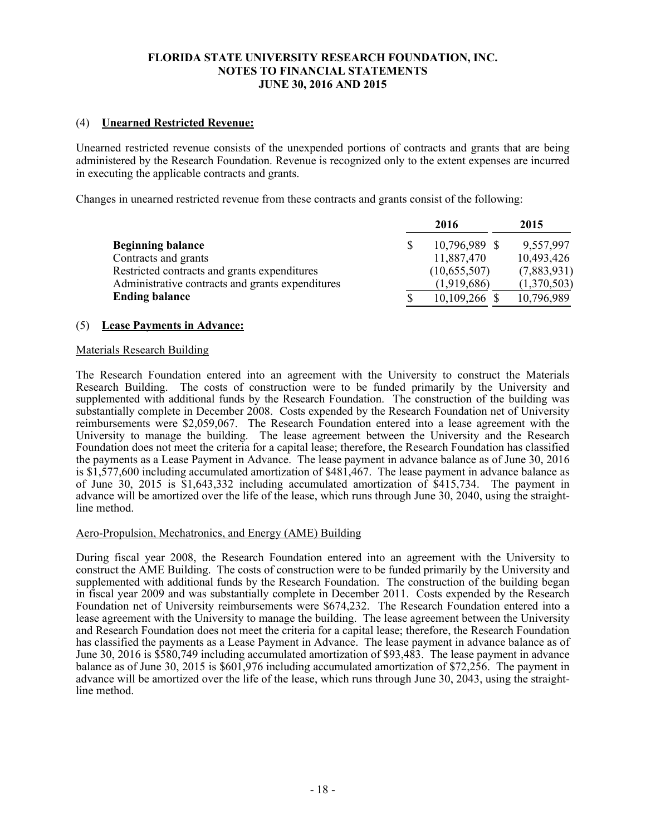#### (4) **Unearned Restricted Revenue:**

Unearned restricted revenue consists of the unexpended portions of contracts and grants that are being administered by the Research Foundation. Revenue is recognized only to the extent expenses are incurred in executing the applicable contracts and grants.

Changes in unearned restricted revenue from these contracts and grants consist of the following:

|                                                  | 2016          | 2015        |
|--------------------------------------------------|---------------|-------------|
| <b>Beginning balance</b>                         | 10,796,989 \$ | 9,557,997   |
| Contracts and grants                             | 11,887,470    | 10,493,426  |
| Restricted contracts and grants expenditures     | (10,655,507)  | (7,883,931) |
| Administrative contracts and grants expenditures | (1.919, 686)  | (1,370,503) |
| <b>Ending balance</b>                            | 10,109,266 \$ | 10,796,989  |

### (5) **Lease Payments in Advance:**

#### Materials Research Building

The Research Foundation entered into an agreement with the University to construct the Materials Research Building. The costs of construction were to be funded primarily by the University and supplemented with additional funds by the Research Foundation. The construction of the building was substantially complete in December 2008. Costs expended by the Research Foundation net of University reimbursements were \$2,059,067. The Research Foundation entered into a lease agreement with the University to manage the building. The lease agreement between the University and the Research Foundation does not meet the criteria for a capital lease; therefore, the Research Foundation has classified the payments as a Lease Payment in Advance. The lease payment in advance balance as of June 30, 2016 is  $\frac{$1,577,600}{4}$  including accumulated amortization of \$481,467. The lease payment in advance balance as of June 30, 2015 is \$1,643,332 including accumulated amortization of \$415,734. The payment in advance will be amortized over the life of the lease, which runs through June 30, 2040, using the straightline method.

### Aero-Propulsion, Mechatronics, and Energy (AME) Building

During fiscal year 2008, the Research Foundation entered into an agreement with the University to construct the AME Building. The costs of construction were to be funded primarily by the University and supplemented with additional funds by the Research Foundation. The construction of the building began in fiscal year 2009 and was substantially complete in December 2011. Costs expended by the Research Foundation net of University reimbursements were \$674,232. The Research Foundation entered into a lease agreement with the University to manage the building. The lease agreement between the University and Research Foundation does not meet the criteria for a capital lease; therefore, the Research Foundation has classified the payments as a Lease Payment in Advance. The lease payment in advance balance as of June 30, 2016 is \$580,749 including accumulated amortization of \$93,483. The lease payment in advance balance as of June 30, 2015 is \$601,976 including accumulated amortization of \$72,256. The payment in advance will be amortized over the life of the lease, which runs through June 30, 2043, using the straightline method.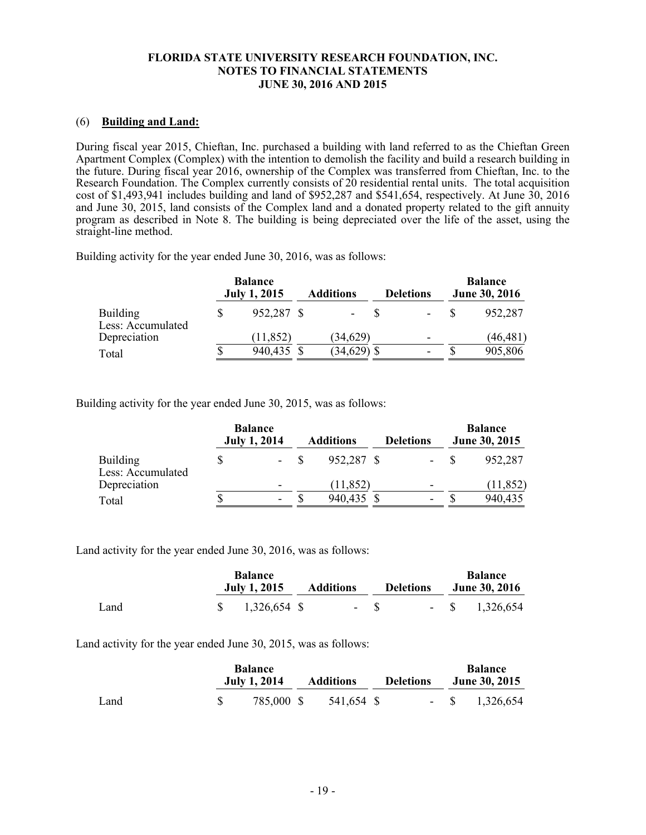# (6) **Building and Land:**

During fiscal year 2015, Chieftan, Inc. purchased a building with land referred to as the Chieftan Green Apartment Complex (Complex) with the intention to demolish the facility and build a research building in the future. During fiscal year 2016, ownership of the Complex was transferred from Chieftan, Inc. to the Research Foundation. The Complex currently consists of 20 residential rental units. The total acquisition cost of \$1,493,941 includes building and land of \$952,287 and \$541,654, respectively. At June 30, 2016 and June 30, 2015, land consists of the Complex land and a donated property related to the gift annuity program as described in Note 8. The building is being depreciated over the life of the asset, using the straight-line method.

Building activity for the year ended June 30, 2016, was as follows:

|                                      |   | <b>Balance</b><br><b>July 1, 2015</b> | <b>Additions</b>         | <b>Deletions</b> | <b>Balance</b><br><b>June 30, 2016</b> |
|--------------------------------------|---|---------------------------------------|--------------------------|------------------|----------------------------------------|
| <b>Building</b><br>Less: Accumulated | S | 952,287 \$                            | $\overline{\phantom{a}}$ | $\sim$           | 952,287                                |
| Depreciation                         |   | (11, 852)                             | (34, 629)                | -                | (46, 481)                              |
| Total                                |   | 940,435 \$                            | $(34,629)$ \$            | -                | 905,806                                |

Building activity for the year ended June 30, 2015, was as follows:

|                                      | <b>Balance</b><br><b>July 1, 2014</b> | <b>Additions</b> | <b>Deletions</b>         | <b>Balance</b><br>June 30, 2015 |
|--------------------------------------|---------------------------------------|------------------|--------------------------|---------------------------------|
| <b>Building</b><br>Less: Accumulated |                                       | 952,287 \$       | $\sim$                   | 952,287                         |
| Depreciation                         | -                                     | (11, 852)        | $\overline{\phantom{a}}$ | (11, 852)                       |
| Total                                | -                                     | 940,435 \$       | -                        | 940,435                         |

Land activity for the year ended June 30, 2016, was as follows:

|      | <b>Balance</b><br><b>July 1, 2015</b> | Additions | <b>Deletions</b> | <b>Balance</b><br><b>June 30, 2016</b> |
|------|---------------------------------------|-----------|------------------|----------------------------------------|
| Land |                                       | $-$ S     |                  | $-$ \$ 1,326,654                       |

Land activity for the year ended June 30, 2015, was as follows:

|      | <b>Balance</b><br><b>July 1, 2014</b> | <b>Additions</b> Deletions |  | <b>Balance</b><br><b>June 30, 2015</b> |
|------|---------------------------------------|----------------------------|--|----------------------------------------|
| Land | 785.000 \$                            | 541,654 \$                 |  | $-$ \$ 1,326,654                       |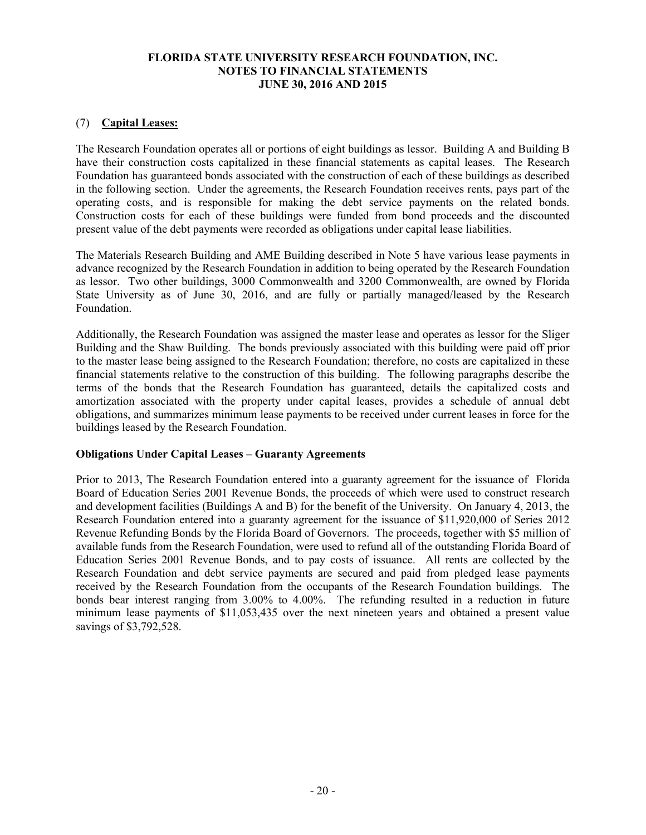# (7) **Capital Leases:**

The Research Foundation operates all or portions of eight buildings as lessor. Building A and Building B have their construction costs capitalized in these financial statements as capital leases. The Research Foundation has guaranteed bonds associated with the construction of each of these buildings as described in the following section. Under the agreements, the Research Foundation receives rents, pays part of the operating costs, and is responsible for making the debt service payments on the related bonds. Construction costs for each of these buildings were funded from bond proceeds and the discounted present value of the debt payments were recorded as obligations under capital lease liabilities.

The Materials Research Building and AME Building described in Note 5 have various lease payments in advance recognized by the Research Foundation in addition to being operated by the Research Foundation as lessor. Two other buildings, 3000 Commonwealth and 3200 Commonwealth, are owned by Florida State University as of June 30, 2016, and are fully or partially managed/leased by the Research Foundation.

Additionally, the Research Foundation was assigned the master lease and operates as lessor for the Sliger Building and the Shaw Building. The bonds previously associated with this building were paid off prior to the master lease being assigned to the Research Foundation; therefore, no costs are capitalized in these financial statements relative to the construction of this building. The following paragraphs describe the terms of the bonds that the Research Foundation has guaranteed, details the capitalized costs and amortization associated with the property under capital leases, provides a schedule of annual debt obligations, and summarizes minimum lease payments to be received under current leases in force for the buildings leased by the Research Foundation.

### **Obligations Under Capital Leases – Guaranty Agreements**

Prior to 2013, The Research Foundation entered into a guaranty agreement for the issuance of Florida Board of Education Series 2001 Revenue Bonds, the proceeds of which were used to construct research and development facilities (Buildings A and B) for the benefit of the University. On January 4, 2013, the Research Foundation entered into a guaranty agreement for the issuance of \$11,920,000 of Series 2012 Revenue Refunding Bonds by the Florida Board of Governors. The proceeds, together with \$5 million of available funds from the Research Foundation, were used to refund all of the outstanding Florida Board of Education Series 2001 Revenue Bonds, and to pay costs of issuance. All rents are collected by the Research Foundation and debt service payments are secured and paid from pledged lease payments received by the Research Foundation from the occupants of the Research Foundation buildings. The bonds bear interest ranging from 3.00% to 4.00%. The refunding resulted in a reduction in future minimum lease payments of \$11,053,435 over the next nineteen years and obtained a present value savings of \$3,792,528.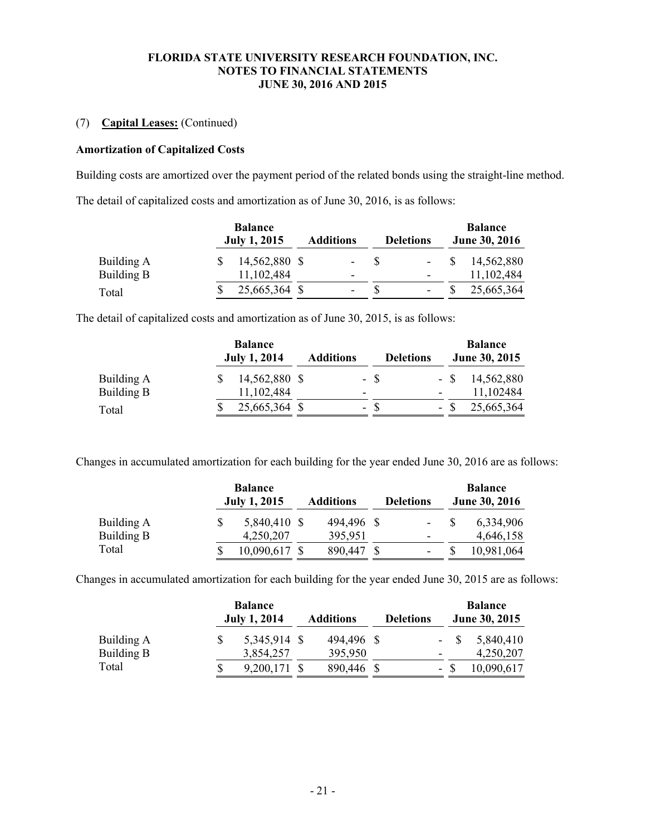## (7) **Capital Leases:** (Continued)

#### **Amortization of Capitalized Costs**

Building costs are amortized over the payment period of the related bonds using the straight-line method.

The detail of capitalized costs and amortization as of June 30, 2016, is as follows:

|            | <b>Balance</b><br><b>July 1, 2015</b> | <b>Additions</b>         |   | <b>Deletions</b> | <b>Balance</b><br><b>June 30, 2016</b> |
|------------|---------------------------------------|--------------------------|---|------------------|----------------------------------------|
| Building A | 14,562,880 \$                         | $\sim$                   | S |                  | 14,562,880                             |
| Building B | 11,102,484                            | $\overline{\phantom{0}}$ |   | -                | 11,102,484                             |
| Total      | 25,665,364 \$                         | -                        |   |                  | 25,665,364                             |

The detail of capitalized costs and amortization as of June 30, 2015, is as follows:

|                          | <b>Balance</b><br><b>July 1, 2014</b> | <b>Additions</b>         |      | <b>Deletions</b> |  | <b>Balance</b><br>June 30, 2015 |
|--------------------------|---------------------------------------|--------------------------|------|------------------|--|---------------------------------|
| Building A<br>Building B | 14,562,880 \$<br>11,102,484           | $\overline{\phantom{0}}$ | - \$ |                  |  | 14,562,880<br>11,102484         |
| Total                    | 25,665,364 \$                         |                          | - \$ |                  |  | 25,665,364                      |

Changes in accumulated amortization for each building for the year ended June 30, 2016 are as follows:

|            | <b>Balance</b><br><b>July 1, 2015</b> | <b>Additions</b> | <b>Deletions</b> | <b>Balance</b><br><b>June 30, 2016</b> |
|------------|---------------------------------------|------------------|------------------|----------------------------------------|
| Building A | 5,840,410 \$                          | 494,496 \$       |                  | 6,334,906                              |
| Building B | 4,250,207                             | 395,951          | -                | 4,646,158                              |
| Total      | 10,090,617 \$                         | 890,447          | ٠                | 10,981,064                             |

Changes in accumulated amortization for each building for the year ended June 30, 2015 are as follows:

|            | <b>Balance</b><br><b>July 1, 2014</b> | <b>Additions</b> | <b>Deletions</b> |                          | <b>Balance</b><br>June 30, 2015 |
|------------|---------------------------------------|------------------|------------------|--------------------------|---------------------------------|
| Building A | 5,345,914 \$                          | 494,496 \$       |                  |                          | 5,840,410                       |
| Building B | 3,854,257                             | 395,950          |                  | $\overline{\phantom{a}}$ | 4,250,207                       |
| Total      | 9,200,171 \$                          | 890,446          |                  | - \$                     | 10,090,617                      |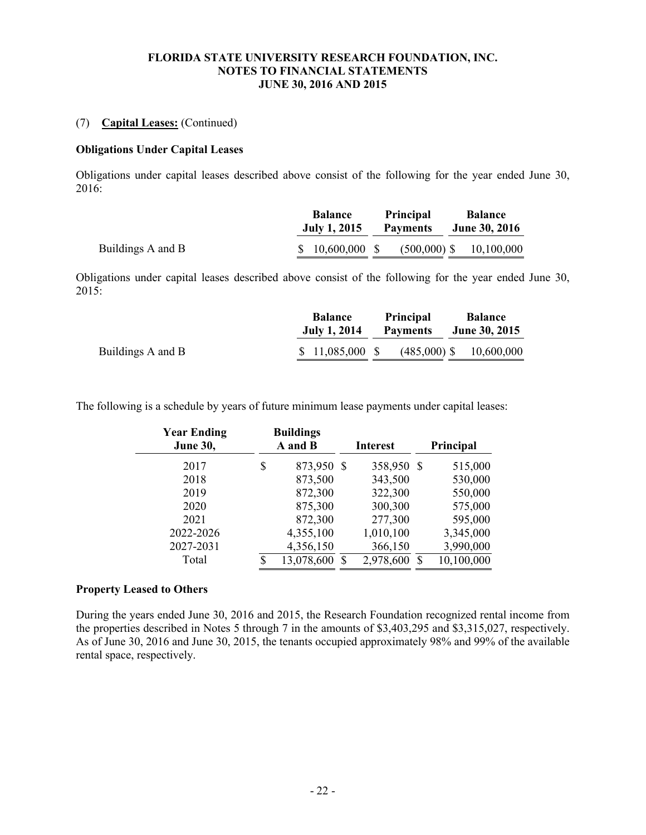## (7) **Capital Leases:** (Continued)

### **Obligations Under Capital Leases**

Obligations under capital leases described above consist of the following for the year ended June 30, 2016:

|                   | <b>Balance</b><br><b>July 1, 2015</b> | Principal<br>Payments | <b>Balance</b><br><b>June 30, 2016</b> |
|-------------------|---------------------------------------|-----------------------|----------------------------------------|
| Buildings A and B | $$10,600,000$ \$                      | $(500,000)$ \$        | 10,100,000                             |

Obligations under capital leases described above consist of the following for the year ended June 30, 2015:

|                   | <b>Balance</b>      | <b>Principal</b> | <b>Balance</b>       |
|-------------------|---------------------|------------------|----------------------|
|                   | <b>July 1, 2014</b> | <b>Payments</b>  | <b>June 30, 2015</b> |
| Buildings A and B | $$11,085,000$ \$    | $(485,000)$ \$   | 10,600,000           |

The following is a schedule by years of future minimum lease payments under capital leases:

| <b>Year Ending</b><br><b>June 30,</b> |    | <b>Buildings</b><br>A and B |   | Interest  |    | Principal  |
|---------------------------------------|----|-----------------------------|---|-----------|----|------------|
| 2017                                  | \$ | 873,950 \$                  |   | 358,950   | -S | 515,000    |
| 2018                                  |    | 873,500                     |   | 343,500   |    | 530,000    |
| 2019                                  |    | 872,300                     |   | 322,300   |    | 550,000    |
| 2020                                  |    | 875,300                     |   | 300,300   |    | 575,000    |
| 2021                                  |    | 872,300                     |   | 277,300   |    | 595,000    |
| 2022-2026                             |    | 4,355,100                   |   | 1,010,100 |    | 3,345,000  |
| 2027-2031                             |    | 4,356,150                   |   | 366,150   |    | 3,990,000  |
| Total                                 | S  | 13,078,600                  | S | 2,978,600 | S  | 10,100,000 |

## **Property Leased to Others**

During the years ended June 30, 2016 and 2015, the Research Foundation recognized rental income from the properties described in Notes 5 through 7 in the amounts of \$3,403,295 and \$3,315,027, respectively. As of June 30, 2016 and June 30, 2015, the tenants occupied approximately 98% and 99% of the available rental space, respectively.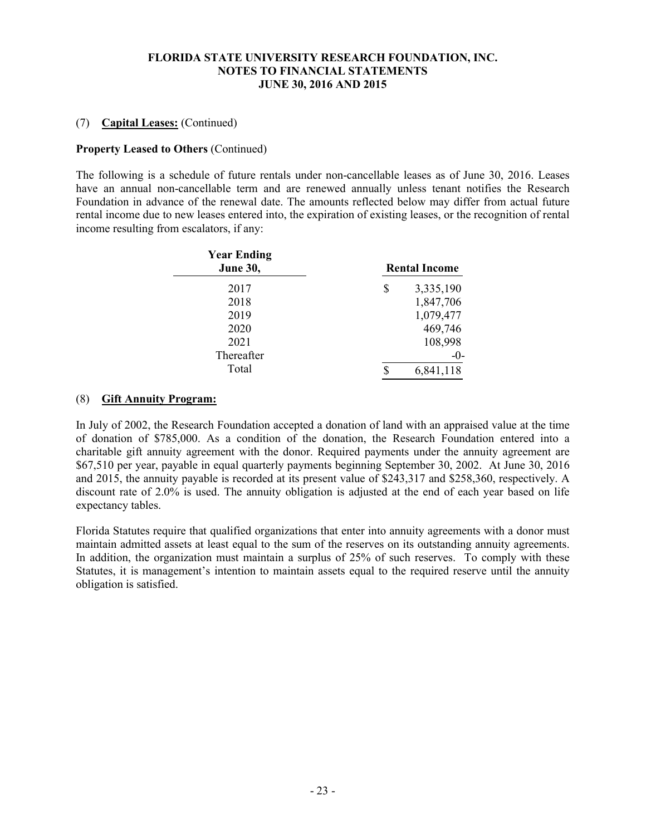## (7) **Capital Leases:** (Continued)

### **Property Leased to Others** (Continued)

The following is a schedule of future rentals under non-cancellable leases as of June 30, 2016. Leases have an annual non-cancellable term and are renewed annually unless tenant notifies the Research Foundation in advance of the renewal date. The amounts reflected below may differ from actual future rental income due to new leases entered into, the expiration of existing leases, or the recognition of rental income resulting from escalators, if any:

| <b>Year Ending</b><br><b>June 30,</b> |   | <b>Rental Income</b> |
|---------------------------------------|---|----------------------|
| 2017                                  | S | 3,335,190            |
| 2018                                  |   | 1,847,706            |
| 2019                                  |   | 1,079,477            |
| 2020                                  |   | 469,746              |
| 2021                                  |   | 108,998              |
| Thereafter                            |   |                      |
| Total                                 | S | 6,841,118            |

## (8) **Gift Annuity Program:**

In July of 2002, the Research Foundation accepted a donation of land with an appraised value at the time of donation of \$785,000. As a condition of the donation, the Research Foundation entered into a charitable gift annuity agreement with the donor. Required payments under the annuity agreement are \$67,510 per year, payable in equal quarterly payments beginning September 30, 2002. At June 30, 2016 and 2015, the annuity payable is recorded at its present value of \$243,317 and \$258,360, respectively. A discount rate of 2.0% is used. The annuity obligation is adjusted at the end of each year based on life expectancy tables.

Florida Statutes require that qualified organizations that enter into annuity agreements with a donor must maintain admitted assets at least equal to the sum of the reserves on its outstanding annuity agreements. In addition, the organization must maintain a surplus of 25% of such reserves. To comply with these Statutes, it is management's intention to maintain assets equal to the required reserve until the annuity obligation is satisfied.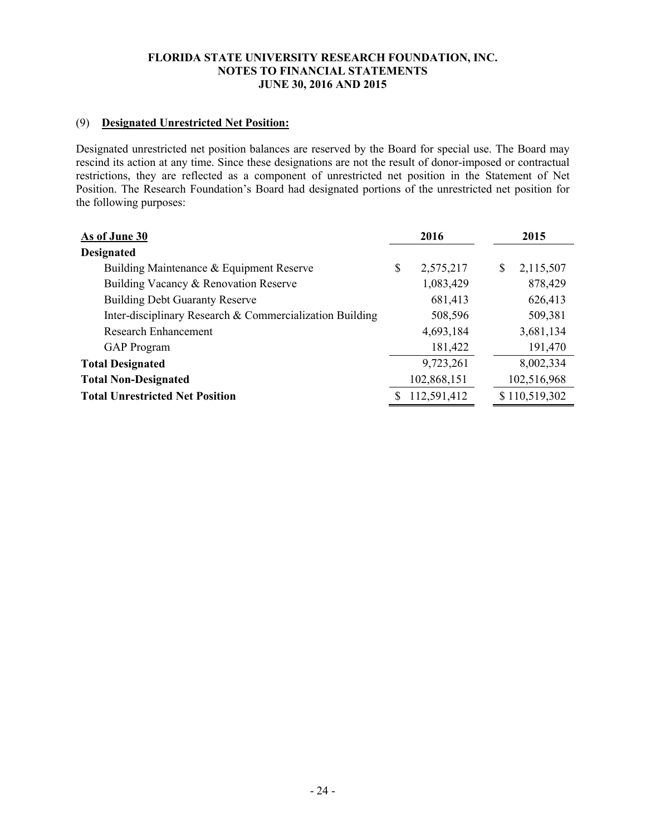## (9) **Designated Unrestricted Net Position:**

Designated unrestricted net position balances are reserved by the Board for special use. The Board may rescind its action at any time. Since these designations are not the result of donor-imposed or contractual restrictions, they are reflected as a component of unrestricted net position in the Statement of Net Position. The Research Foundation's Board had designated portions of the unrestricted net position for the following purposes:

| As of June 30                                            | 2016            | 2015            |
|----------------------------------------------------------|-----------------|-----------------|
| <b>Designated</b>                                        |                 |                 |
| Building Maintenance & Equipment Reserve                 | \$<br>2,575,217 | 2,115,507<br>\$ |
| Building Vacancy & Renovation Reserve                    | 1,083,429       | 878,429         |
| <b>Building Debt Guaranty Reserve</b>                    | 681,413         | 626,413         |
| Inter-disciplinary Research & Commercialization Building | 508,596         | 509,381         |
| <b>Research Enhancement</b>                              | 4,693,184       | 3,681,134       |
| <b>GAP</b> Program                                       | 181,422         | 191,470         |
| <b>Total Designated</b>                                  | 9,723,261       | 8,002,334       |
| <b>Total Non-Designated</b>                              | 102,868,151     | 102,516,968     |
| <b>Total Unrestricted Net Position</b>                   | 112,591,412     | \$110,519,302   |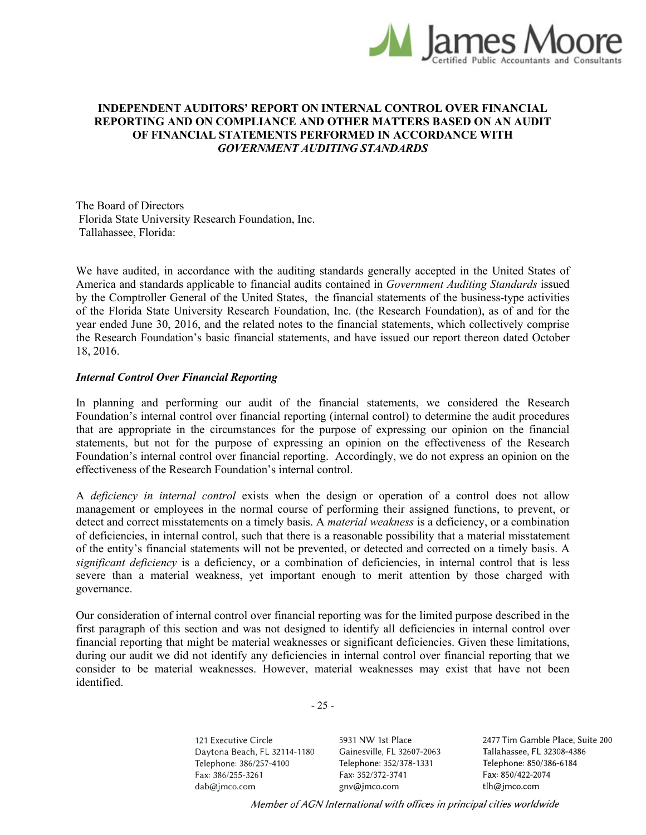

### **INDEPENDENT AUDITORS' REPORT ON INTERNAL CONTROL OVER FINANCIAL REPORTING AND ON COMPLIANCE AND OTHER MATTERS BASED ON AN AUDIT OF FINANCIAL STATEMENTS PERFORMED IN ACCORDANCE WITH** *GOVERNMENT AUDITING STANDARDS*

The Board of Directors Florida State University Research Foundation, Inc. Tallahassee, Florida:

We have audited, in accordance with the auditing standards generally accepted in the United States of America and standards applicable to financial audits contained in *Government Auditing Standards* issued by the Comptroller General of the United States, the financial statements of the business-type activities of the Florida State University Research Foundation, Inc. (the Research Foundation), as of and for the year ended June 30, 2016, and the related notes to the financial statements, which collectively comprise the Research Foundation's basic financial statements, and have issued our report thereon dated October 18, 2016.

#### *Internal Control Over Financial Reporting*

In planning and performing our audit of the financial statements, we considered the Research Foundation's internal control over financial reporting (internal control) to determine the audit procedures that are appropriate in the circumstances for the purpose of expressing our opinion on the financial statements, but not for the purpose of expressing an opinion on the effectiveness of the Research Foundation's internal control over financial reporting. Accordingly, we do not express an opinion on the effectiveness of the Research Foundation's internal control.

A *deficiency in internal control* exists when the design or operation of a control does not allow management or employees in the normal course of performing their assigned functions, to prevent, or detect and correct misstatements on a timely basis. A *material weakness* is a deficiency, or a combination of deficiencies, in internal control, such that there is a reasonable possibility that a material misstatement of the entity's financial statements will not be prevented, or detected and corrected on a timely basis. A *significant deficiency* is a deficiency, or a combination of deficiencies, in internal control that is less severe than a material weakness, yet important enough to merit attention by those charged with governance.

Our consideration of internal control over financial reporting was for the limited purpose described in the first paragraph of this section and was not designed to identify all deficiencies in internal control over financial reporting that might be material weaknesses or significant deficiencies. Given these limitations, during our audit we did not identify any deficiencies in internal control over financial reporting that we consider to be material weaknesses. However, material weaknesses may exist that have not been identified.

 $-25 -$ 

121 Executive Circle Daytona Beach, FL 32114-1180 Telephone: 386/257-4100 Fax: 386/255-3261 dab@jmco.com

5931 NW 1st Place Gainesville, FL 32607-2063 Telephone: 352/378-1331 Fax: 352/372-3741 gnv@jmco.com

2477 Tim Gamble Place, Suite 200 Tallahassee, FL 32308-4386 Telephone: 850/386-6184 Fax: 850/422-2074 tlh@jmco.com

Member of AGN International with offices in principal cities worldwide